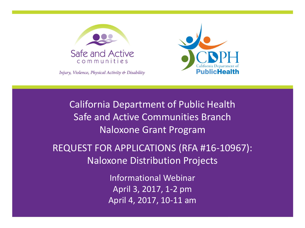



Injury, Violence, Physical Activity & Disability

California Department of Public Health Safe and Active Communities Branch Naloxone Grant Program

REQUEST FOR APPLICATIONS (RFA #16-10967): Naloxone Distribution Projects

> Informational Webinar April 3, 2017, 1-2 pm April 4, 2017, 10-11 am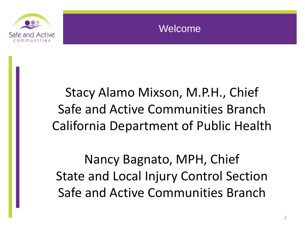

### Welcome

# Stacy Alamo Mixson, M.P.H., Chief Safe and Active Communities Branch California Department of Public Health

Nancy Bagnato, MPH, Chief State and Local Injury Control Section Safe and Active Communities Branch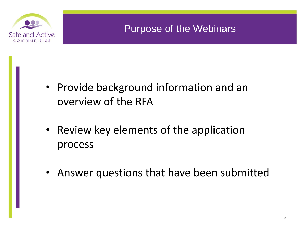

### Purpose of the Webinars

- Provide background information and an overview of the RFA
- Review key elements of the application process
- Answer questions that have been submitted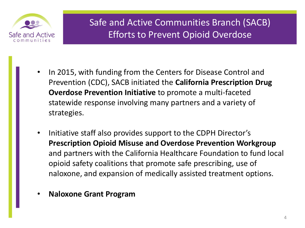

### Safe and Active Communities Branch (SACB) Efforts to Prevent Opioid Overdose

- In 2015, with funding from the Centers for Disease Control and Prevention (CDC), SACB initiated the **California Prescription Drug Overdose Prevention Initiative** to promote a multi-faceted statewide response involving many partners and a variety of strategies.
- Initiative staff also provides support to the CDPH Director's **Prescription Opioid Misuse and Overdose Prevention Workgroup** and partners with the California Healthcare Foundation to fund local opioid safety coalitions that promote safe prescribing, use of naloxone, and expansion of medically assisted treatment options.
- **Naloxone Grant Program**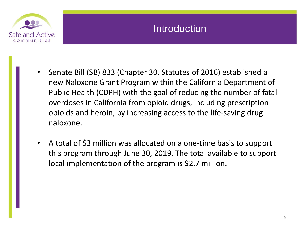

### **Introduction**

- Senate Bill (SB) 833 (Chapter 30, Statutes of 2016) established a new Naloxone Grant Program within the California Department of Public Health (CDPH) with the goal of reducing the number of fatal overdoses in California from opioid drugs, including prescription opioids and heroin, by increasing access to the life-saving drug naloxone.
- A total of \$3 million was allocated on a one-time basis to support this program through June 30, 2019. The total available to support local implementation of the program is \$2.7 million.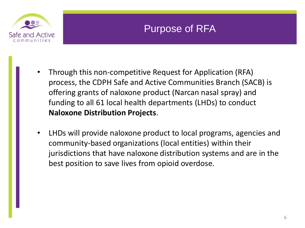

### Purpose of RFA

- Through this non-competitive Request for Application (RFA) process, the CDPH Safe and Active Communities Branch (SACB) is offering grants of naloxone product (Narcan nasal spray) and funding to all 61 local health departments (LHDs) to conduct **Naloxone Distribution Projects**.
- LHDs will provide naloxone product to local programs, agencies and community-based organizations (local entities) within their jurisdictions that have naloxone distribution systems and are in the best position to save lives from opioid overdose.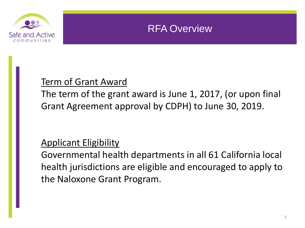

### RFA Overview

### Term of Grant Award

The term of the grant award is June 1, 2017, (or upon final Grant Agreement approval by CDPH) to June 30, 2019.

### Applicant Eligibility

Governmental health departments in all 61 California local health jurisdictions are eligible and encouraged to apply to the Naloxone Grant Program.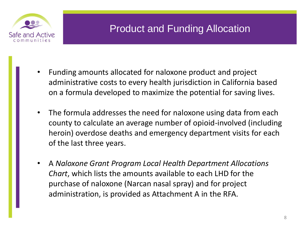

### Product and Funding Allocation

- Funding amounts allocated for naloxone product and project administrative costs to every health jurisdiction in California based on a formula developed to maximize the potential for saving lives.
- The formula addresses the need for naloxone using data from each county to calculate an average number of opioid-involved (including heroin) overdose deaths and emergency department visits for each of the last three years.
- A *Naloxone Grant Program Local Health Department Allocations Chart*, which lists the amounts available to each LHD for the purchase of naloxone (Narcan nasal spray) and for project administration, is provided as Attachment A in the RFA.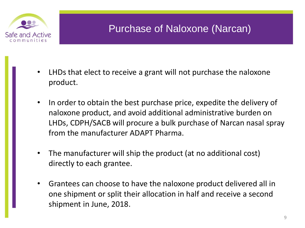

## Purchase of Naloxone (Narcan)

- LHDs that elect to receive a grant will not purchase the naloxone product.
- In order to obtain the best purchase price, expedite the delivery of naloxone product, and avoid additional administrative burden on LHDs, CDPH/SACB will procure a bulk purchase of Narcan nasal spray from the manufacturer ADAPT Pharma.
- The manufacturer will ship the product (at no additional cost) directly to each grantee.
- Grantees can choose to have the naloxone product delivered all in one shipment or split their allocation in half and receive a second shipment in June, 2018.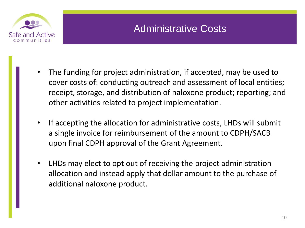

## Administrative Costs

- The funding for project administration, if accepted, may be used to cover costs of: conducting outreach and assessment of local entities; receipt, storage, and distribution of naloxone product; reporting; and other activities related to project implementation.
- If accepting the allocation for administrative costs, LHDs will submit a single invoice for reimbursement of the amount to CDPH/SACB upon final CDPH approval of the Grant Agreement.
- LHDs may elect to opt out of receiving the project administration allocation and instead apply that dollar amount to the purchase of additional naloxone product.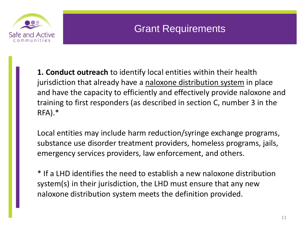

### Grant Requirements

**1. Conduct outreach** to identify local entities within their health jurisdiction that already have a naloxone distribution system in place and have the capacity to efficiently and effectively provide naloxone and training to first responders (as described in section C, number 3 in the RFA).\*

Local entities may include harm reduction/syringe exchange programs, substance use disorder treatment providers, homeless programs, jails, emergency services providers, law enforcement, and others.

\* If a LHD identifies the need to establish a new naloxone distribution system(s) in their jurisdiction, the LHD must ensure that any new naloxone distribution system meets the definition provided.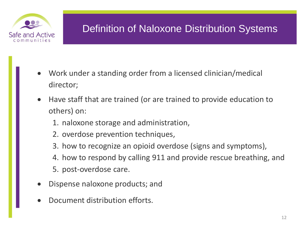

## Definition of Naloxone Distribution Systems

- Work under a standing order from a licensed clinician/medical director;
- Have staff that are trained (or are trained to provide education to others) on:
	- 1. naloxone storage and administration,
	- 2. overdose prevention techniques,
	- 3. how to recognize an opioid overdose (signs and symptoms),
	- 4. how to respond by calling 911 and provide rescue breathing, and
	- 5. post-overdose care.
- Dispense naloxone products; and
- Document distribution efforts.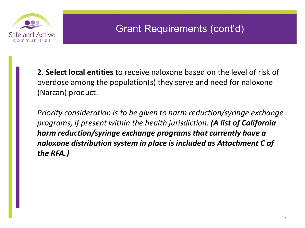

**2. Select local entities** to receive naloxone based on the level of risk of overdose among the population(s) they serve and need for naloxone (Narcan) product.

*Priority consideration is to be given to harm reduction/syringe exchange programs, if present within the health jurisdiction. (A list of California harm reduction/syringe exchange programs that currently have a naloxone distribution system in place is included as Attachment C of the RFA.)*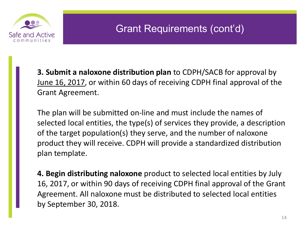

**3. Submit a naloxone distribution plan** to CDPH/SACB for approval by June 16, 2017, or within 60 days of receiving CDPH final approval of the Grant Agreement.

The plan will be submitted on-line and must include the names of selected local entities, the type(s) of services they provide, a description of the target population(s) they serve, and the number of naloxone product they will receive. CDPH will provide a standardized distribution plan template.

**4. Begin distributing naloxone** product to selected local entities by July 16, 2017, or within 90 days of receiving CDPH final approval of the Grant Agreement. All naloxone must be distributed to selected local entities by September 30, 2018.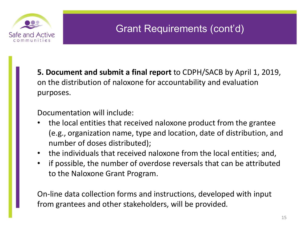

**5. Document and submit a final report** to CDPH/SACB by April 1, 2019, on the distribution of naloxone for accountability and evaluation purposes.

Documentation will include:

- the local entities that received naloxone product from the grantee (e.g., organization name, type and location, date of distribution, and number of doses distributed);
- the individuals that received naloxone from the local entities; and,
- if possible, the number of overdose reversals that can be attributed to the Naloxone Grant Program.

On-line data collection forms and instructions, developed with input from grantees and other stakeholders, will be provided.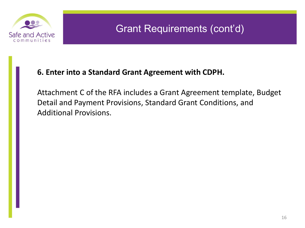

#### **6. Enter into a Standard Grant Agreement with CDPH.**

Attachment C of the RFA includes a Grant Agreement template, Budget Detail and Payment Provisions, Standard Grant Conditions, and Additional Provisions.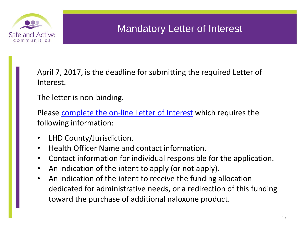

### Mandatory Letter of Interest

April 7, 2017, is the deadline for submitting the required Letter of Interest.

The letter is non-binding.

Please [complete the on-line Letter of Interest](http://www.surveygizmo.com/s3/3436352/d311e1c1f806) which requires the following information:

- LHD County/Jurisdiction.
- Health Officer Name and contact information.
- Contact information for individual responsible for the application.
- An indication of the intent to apply (or not apply).
- An indication of the intent to receive the funding allocation dedicated for administrative needs, or a redirection of this funding toward the purchase of additional naloxone product.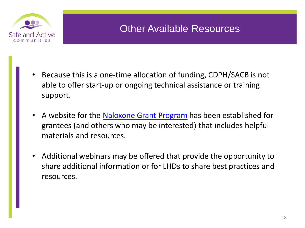

### Other Available Resources

- Because this is a one-time allocation of funding, CDPH/SACB is not able to offer start-up or ongoing technical assistance or training support.
- A website for the [Naloxone Grant Program](https://www.cdph.ca.gov/Programs/CCDPHP/DCDIC/SACB/Pages/NaloxoneGrantProgram.aspx) has been established for grantees (and others who may be interested) that includes helpful materials and resources.
- Additional webinars may be offered that provide the opportunity to share additional information or for LHDs to share best practices and resources.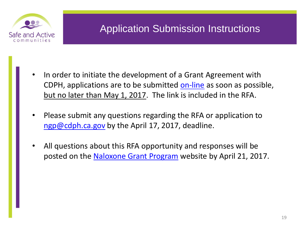

### Application Submission Instructions

- In order to initiate the development of a Grant Agreement with CDPH, applications are to be submitted [on-line](http://www.surveygizmo.com/s3/3436263/f7385e3c96d5) as soon as possible, but no later than May 1, 2017. The link is included in the RFA.
- Please submit any questions regarding the RFA or application to [ngp@cdph.ca.gov](mailto:ngp@cdph.ca.gov) by the April 17, 2017, deadline.
- All questions about this RFA opportunity and responses will be posted on the [Naloxone Grant Program](https://www.cdph.ca.gov/Programs/CCDPHP/DCDIC/SACB/Pages/NaloxoneGrantProgram.aspx) website by April 21, 2017.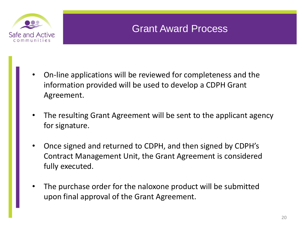

### Grant Award Process

- On-line applications will be reviewed for completeness and the information provided will be used to develop a CDPH Grant Agreement.
- The resulting Grant Agreement will be sent to the applicant agency for signature.
- Once signed and returned to CDPH, and then signed by CDPH's Contract Management Unit, the Grant Agreement is considered fully executed.
- The purchase order for the naloxone product will be submitted upon final approval of the Grant Agreement.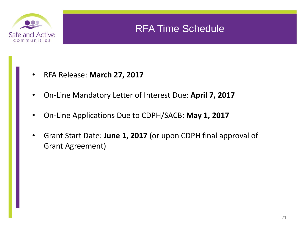

### RFA Time Schedule

- RFA Release: **March 27, 2017**
- On-Line Mandatory Letter of Interest Due: **April 7, 2017**
- On-Line Applications Due to CDPH/SACB: **May 1, 2017**
- Grant Start Date: **June 1, 2017** (or upon CDPH final approval of Grant Agreement)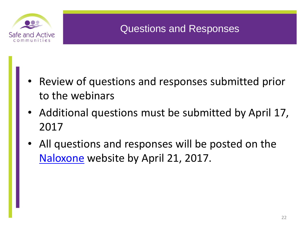

### Questions and Responses

- Review of questions and responses submitted prior to the webinars
- Additional questions must be submitted by April 17, 2017
- All questions and responses will be posted on the [Naloxone](https://www.cdph.ca.gov/Programs/CCDPHP/DCDIC/SACB/Pages/NaloxoneGrantProgram.aspx) website by April 21, 2017.